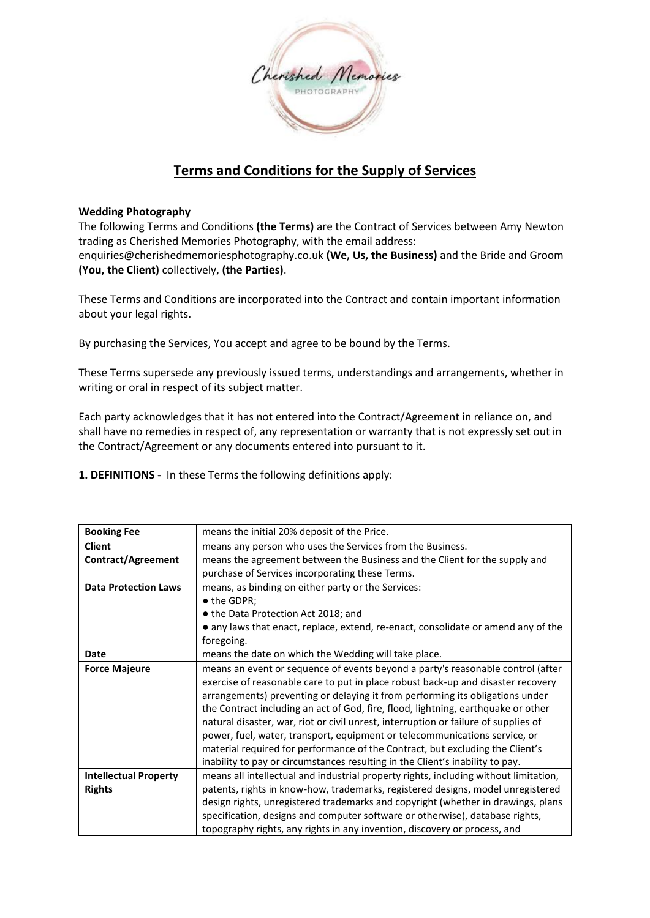

# **Terms and Conditions for the Supply of Services**

# **Wedding Photography**

The following Terms and Conditions **(the Terms)** are the Contract of Services between Amy Newton trading as Cherished Memories Photography, with the email address: enquiries@cherishedmemoriesphotography.co.uk **(We, Us, the Business)** and the Bride and Groom **(You, the Client)** collectively, **(the Parties)**.

These Terms and Conditions are incorporated into the Contract and contain important information about your legal rights.

By purchasing the Services, You accept and agree to be bound by the Terms.

These Terms supersede any previously issued terms, understandings and arrangements, whether in writing or oral in respect of its subject matter.

Each party acknowledges that it has not entered into the Contract/Agreement in reliance on, and shall have no remedies in respect of, any representation or warranty that is not expressly set out in the Contract/Agreement or any documents entered into pursuant to it.

**1. DEFINITIONS -** In these Terms the following definitions apply:

| <b>Booking Fee</b>           | means the initial 20% deposit of the Price.                                          |
|------------------------------|--------------------------------------------------------------------------------------|
|                              |                                                                                      |
| <b>Client</b>                | means any person who uses the Services from the Business.                            |
| <b>Contract/Agreement</b>    | means the agreement between the Business and the Client for the supply and           |
|                              | purchase of Services incorporating these Terms.                                      |
| <b>Data Protection Laws</b>  | means, as binding on either party or the Services:                                   |
|                              | • the GDPR;                                                                          |
|                              | • the Data Protection Act 2018; and                                                  |
|                              | • any laws that enact, replace, extend, re-enact, consolidate or amend any of the    |
|                              | foregoing.                                                                           |
| Date                         | means the date on which the Wedding will take place.                                 |
| <b>Force Majeure</b>         | means an event or sequence of events beyond a party's reasonable control (after      |
|                              | exercise of reasonable care to put in place robust back-up and disaster recovery     |
|                              | arrangements) preventing or delaying it from performing its obligations under        |
|                              | the Contract including an act of God, fire, flood, lightning, earthquake or other    |
|                              | natural disaster, war, riot or civil unrest, interruption or failure of supplies of  |
|                              | power, fuel, water, transport, equipment or telecommunications service, or           |
|                              | material required for performance of the Contract, but excluding the Client's        |
|                              | inability to pay or circumstances resulting in the Client's inability to pay.        |
| <b>Intellectual Property</b> | means all intellectual and industrial property rights, including without limitation, |
| <b>Rights</b>                | patents, rights in know-how, trademarks, registered designs, model unregistered      |
|                              | design rights, unregistered trademarks and copyright (whether in drawings, plans     |
|                              | specification, designs and computer software or otherwise), database rights,         |
|                              | topography rights, any rights in any invention, discovery or process, and            |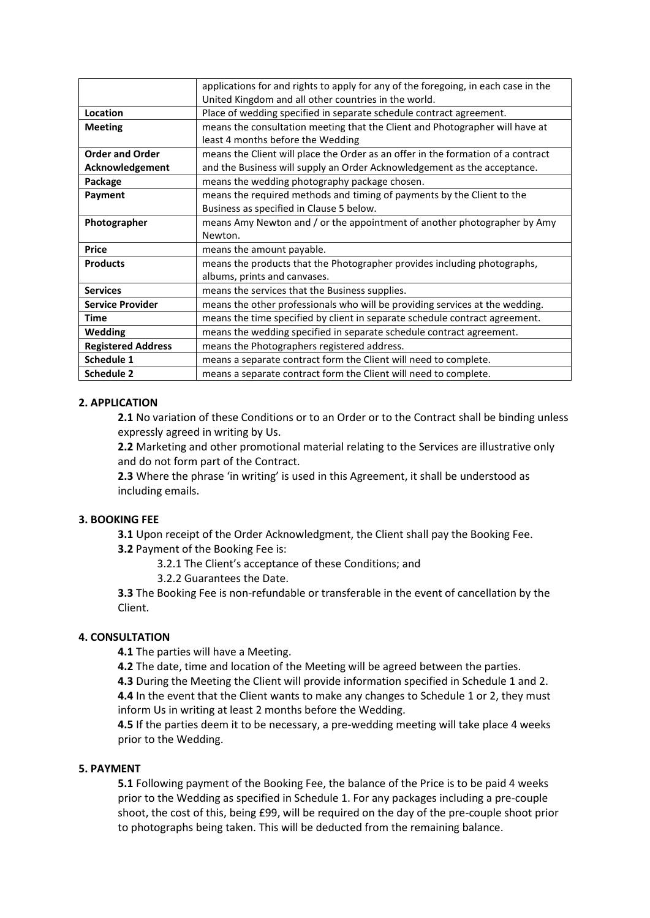|                           | applications for and rights to apply for any of the foregoing, in each case in the |
|---------------------------|------------------------------------------------------------------------------------|
|                           | United Kingdom and all other countries in the world.                               |
| Location                  | Place of wedding specified in separate schedule contract agreement.                |
| <b>Meeting</b>            | means the consultation meeting that the Client and Photographer will have at       |
|                           | least 4 months before the Wedding                                                  |
| <b>Order and Order</b>    | means the Client will place the Order as an offer in the formation of a contract   |
| Acknowledgement           | and the Business will supply an Order Acknowledgement as the acceptance.           |
| Package                   | means the wedding photography package chosen.                                      |
| Payment                   | means the required methods and timing of payments by the Client to the             |
|                           | Business as specified in Clause 5 below.                                           |
| Photographer              | means Amy Newton and / or the appointment of another photographer by Amy           |
|                           | Newton.                                                                            |
| <b>Price</b>              | means the amount payable.                                                          |
| <b>Products</b>           | means the products that the Photographer provides including photographs,           |
|                           | albums, prints and canvases.                                                       |
| <b>Services</b>           | means the services that the Business supplies.                                     |
| <b>Service Provider</b>   | means the other professionals who will be providing services at the wedding.       |
| <b>Time</b>               | means the time specified by client in separate schedule contract agreement.        |
| <b>Wedding</b>            | means the wedding specified in separate schedule contract agreement.               |
| <b>Registered Address</b> | means the Photographers registered address.                                        |
| Schedule 1                | means a separate contract form the Client will need to complete.                   |
|                           |                                                                                    |
| <b>Schedule 2</b>         | means a separate contract form the Client will need to complete.                   |

# **2. APPLICATION**

**2.1** No variation of these Conditions or to an Order or to the Contract shall be binding unless expressly agreed in writing by Us.

**2.2** Marketing and other promotional material relating to the Services are illustrative only and do not form part of the Contract.

**2.3** Where the phrase 'in writing' is used in this Agreement, it shall be understood as including emails.

# **3. BOOKING FEE**

**3.1** Upon receipt of the Order Acknowledgment, the Client shall pay the Booking Fee.

**3.2** Payment of the Booking Fee is:

3.2.1 The Client's acceptance of these Conditions; and

3.2.2 Guarantees the Date.

**3.3** The Booking Fee is non-refundable or transferable in the event of cancellation by the Client.

# **4. CONSULTATION**

**4.1** The parties will have a Meeting.

**4.2** The date, time and location of the Meeting will be agreed between the parties.

**4.3** During the Meeting the Client will provide information specified in Schedule 1 and 2. **4.4** In the event that the Client wants to make any changes to Schedule 1 or 2, they must

inform Us in writing at least 2 months before the Wedding.

**4.5** If the parties deem it to be necessary, a pre-wedding meeting will take place 4 weeks prior to the Wedding.

# **5. PAYMENT**

**5.1** Following payment of the Booking Fee, the balance of the Price is to be paid 4 weeks prior to the Wedding as specified in Schedule 1. For any packages including a pre-couple shoot, the cost of this, being £99, will be required on the day of the pre-couple shoot prior to photographs being taken. This will be deducted from the remaining balance.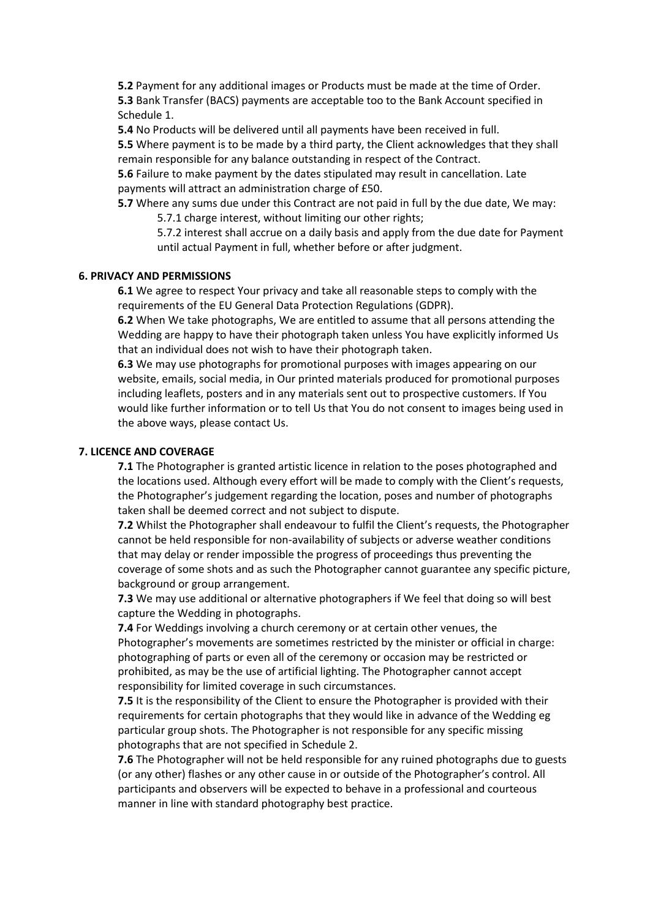**5.2** Payment for any additional images or Products must be made at the time of Order. **5.3** Bank Transfer (BACS) payments are acceptable too to the Bank Account specified in Schedule 1.

**5.4** No Products will be delivered until all payments have been received in full.

**5.5** Where payment is to be made by a third party, the Client acknowledges that they shall remain responsible for any balance outstanding in respect of the Contract.

**5.6** Failure to make payment by the dates stipulated may result in cancellation. Late payments will attract an administration charge of £50.

**5.7** Where any sums due under this Contract are not paid in full by the due date, We may: 5.7.1 charge interest, without limiting our other rights;

5.7.2 interest shall accrue on a daily basis and apply from the due date for Payment until actual Payment in full, whether before or after judgment.

## **6. PRIVACY AND PERMISSIONS**

**6.1** We agree to respect Your privacy and take all reasonable steps to comply with the requirements of the EU General Data Protection Regulations (GDPR).

**6.2** When We take photographs, We are entitled to assume that all persons attending the Wedding are happy to have their photograph taken unless You have explicitly informed Us that an individual does not wish to have their photograph taken.

**6.3** We may use photographs for promotional purposes with images appearing on our website, emails, social media, in Our printed materials produced for promotional purposes including leaflets, posters and in any materials sent out to prospective customers. If You would like further information or to tell Us that You do not consent to images being used in the above ways, please contact Us.

## **7. LICENCE AND COVERAGE**

**7.1** The Photographer is granted artistic licence in relation to the poses photographed and the locations used. Although every effort will be made to comply with the Client's requests, the Photographer's judgement regarding the location, poses and number of photographs taken shall be deemed correct and not subject to dispute.

**7.2** Whilst the Photographer shall endeavour to fulfil the Client's requests, the Photographer cannot be held responsible for non-availability of subjects or adverse weather conditions that may delay or render impossible the progress of proceedings thus preventing the coverage of some shots and as such the Photographer cannot guarantee any specific picture, background or group arrangement.

**7.3** We may use additional or alternative photographers if We feel that doing so will best capture the Wedding in photographs.

**7.4** For Weddings involving a church ceremony or at certain other venues, the Photographer's movements are sometimes restricted by the minister or official in charge: photographing of parts or even all of the ceremony or occasion may be restricted or prohibited, as may be the use of artificial lighting. The Photographer cannot accept responsibility for limited coverage in such circumstances.

**7.5** It is the responsibility of the Client to ensure the Photographer is provided with their requirements for certain photographs that they would like in advance of the Wedding eg particular group shots. The Photographer is not responsible for any specific missing photographs that are not specified in Schedule 2.

**7.6** The Photographer will not be held responsible for any ruined photographs due to guests (or any other) flashes or any other cause in or outside of the Photographer's control. All participants and observers will be expected to behave in a professional and courteous manner in line with standard photography best practice.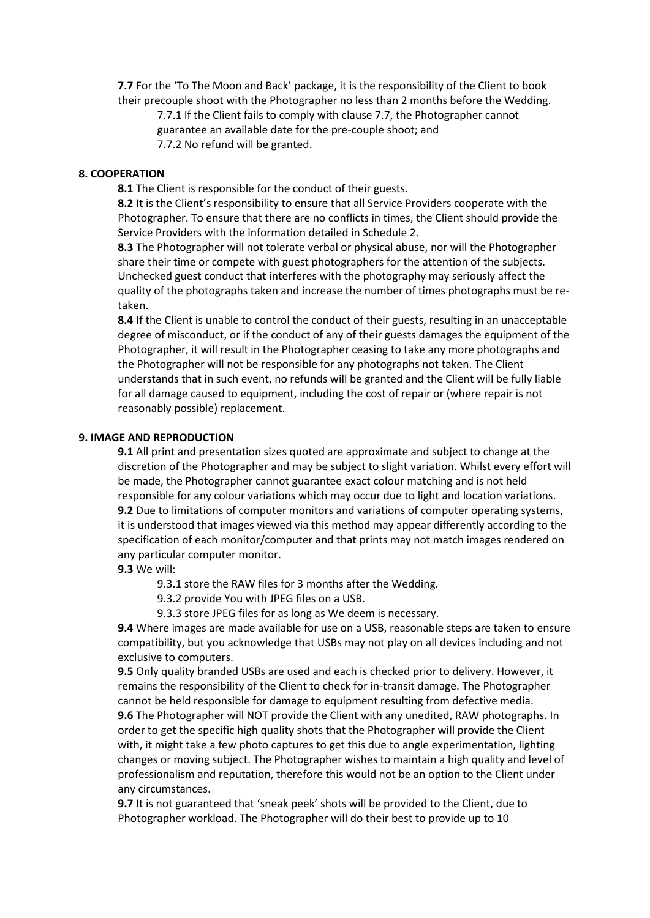**7.7** For the 'To The Moon and Back' package, it is the responsibility of the Client to book their precouple shoot with the Photographer no less than 2 months before the Wedding.

7.7.1 If the Client fails to comply with clause 7.7, the Photographer cannot guarantee an available date for the pre-couple shoot; and

7.7.2 No refund will be granted.

# **8. COOPERATION**

**8.1** The Client is responsible for the conduct of their guests.

**8.2** It is the Client's responsibility to ensure that all Service Providers cooperate with the Photographer. To ensure that there are no conflicts in times, the Client should provide the Service Providers with the information detailed in Schedule 2.

**8.3** The Photographer will not tolerate verbal or physical abuse, nor will the Photographer share their time or compete with guest photographers for the attention of the subjects. Unchecked guest conduct that interferes with the photography may seriously affect the quality of the photographs taken and increase the number of times photographs must be retaken.

**8.4** If the Client is unable to control the conduct of their guests, resulting in an unacceptable degree of misconduct, or if the conduct of any of their guests damages the equipment of the Photographer, it will result in the Photographer ceasing to take any more photographs and the Photographer will not be responsible for any photographs not taken. The Client understands that in such event, no refunds will be granted and the Client will be fully liable for all damage caused to equipment, including the cost of repair or (where repair is not reasonably possible) replacement.

#### **9. IMAGE AND REPRODUCTION**

**9.1** All print and presentation sizes quoted are approximate and subject to change at the discretion of the Photographer and may be subject to slight variation. Whilst every effort will be made, the Photographer cannot guarantee exact colour matching and is not held responsible for any colour variations which may occur due to light and location variations. **9.2** Due to limitations of computer monitors and variations of computer operating systems, it is understood that images viewed via this method may appear differently according to the specification of each monitor/computer and that prints may not match images rendered on any particular computer monitor.

**9.3** We will:

9.3.1 store the RAW files for 3 months after the Wedding.

9.3.2 provide You with JPEG files on a USB.

9.3.3 store JPEG files for as long as We deem is necessary.

**9.4** Where images are made available for use on a USB, reasonable steps are taken to ensure compatibility, but you acknowledge that USBs may not play on all devices including and not exclusive to computers.

**9.5** Only quality branded USBs are used and each is checked prior to delivery. However, it remains the responsibility of the Client to check for in-transit damage. The Photographer cannot be held responsible for damage to equipment resulting from defective media. **9.6** The Photographer will NOT provide the Client with any unedited, RAW photographs. In order to get the specific high quality shots that the Photographer will provide the Client with, it might take a few photo captures to get this due to angle experimentation, lighting changes or moving subject. The Photographer wishes to maintain a high quality and level of professionalism and reputation, therefore this would not be an option to the Client under any circumstances.

**9.7** It is not guaranteed that 'sneak peek' shots will be provided to the Client, due to Photographer workload. The Photographer will do their best to provide up to 10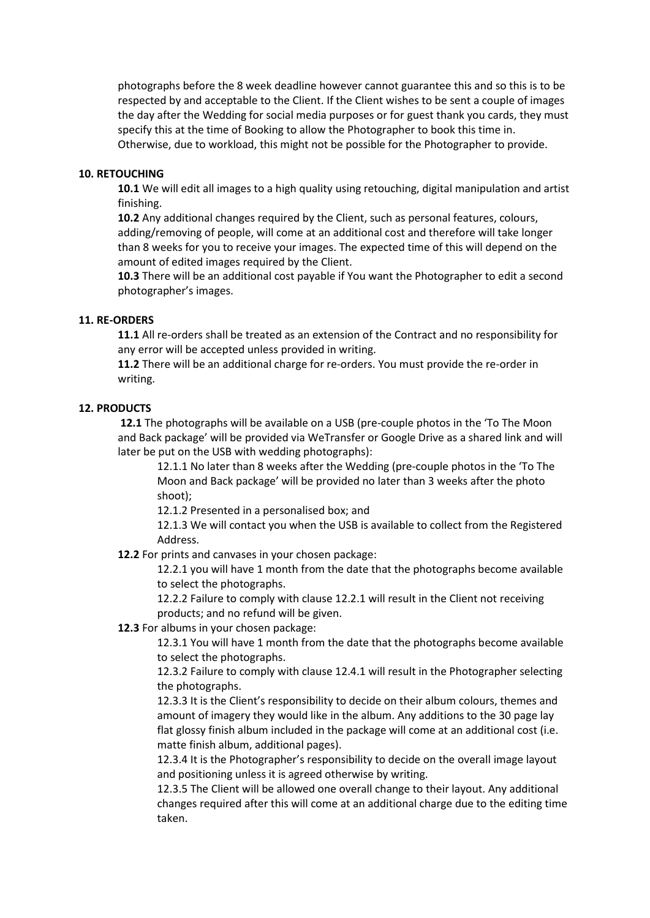photographs before the 8 week deadline however cannot guarantee this and so this is to be respected by and acceptable to the Client. If the Client wishes to be sent a couple of images the day after the Wedding for social media purposes or for guest thank you cards, they must specify this at the time of Booking to allow the Photographer to book this time in. Otherwise, due to workload, this might not be possible for the Photographer to provide.

## **10. RETOUCHING**

**10.1** We will edit all images to a high quality using retouching, digital manipulation and artist finishing.

**10.2** Any additional changes required by the Client, such as personal features, colours, adding/removing of people, will come at an additional cost and therefore will take longer than 8 weeks for you to receive your images. The expected time of this will depend on the amount of edited images required by the Client.

**10.3** There will be an additional cost payable if You want the Photographer to edit a second photographer's images.

## **11. RE-ORDERS**

**11.1** All re-orders shall be treated as an extension of the Contract and no responsibility for any error will be accepted unless provided in writing.

**11.2** There will be an additional charge for re-orders. You must provide the re-order in writing.

## **12. PRODUCTS**

**12.1** The photographs will be available on a USB (pre-couple photos in the 'To The Moon and Back package' will be provided via WeTransfer or Google Drive as a shared link and will later be put on the USB with wedding photographs):

12.1.1 No later than 8 weeks after the Wedding (pre-couple photos in the 'To The Moon and Back package' will be provided no later than 3 weeks after the photo shoot);

12.1.2 Presented in a personalised box; and

12.1.3 We will contact you when the USB is available to collect from the Registered Address.

**12.2** For prints and canvases in your chosen package:

12.2.1 you will have 1 month from the date that the photographs become available to select the photographs.

12.2.2 Failure to comply with clause 12.2.1 will result in the Client not receiving products; and no refund will be given.

## **12.3** For albums in your chosen package:

12.3.1 You will have 1 month from the date that the photographs become available to select the photographs.

12.3.2 Failure to comply with clause 12.4.1 will result in the Photographer selecting the photographs.

12.3.3 It is the Client's responsibility to decide on their album colours, themes and amount of imagery they would like in the album. Any additions to the 30 page lay flat glossy finish album included in the package will come at an additional cost (i.e. matte finish album, additional pages).

12.3.4 It is the Photographer's responsibility to decide on the overall image layout and positioning unless it is agreed otherwise by writing.

12.3.5 The Client will be allowed one overall change to their layout. Any additional changes required after this will come at an additional charge due to the editing time taken.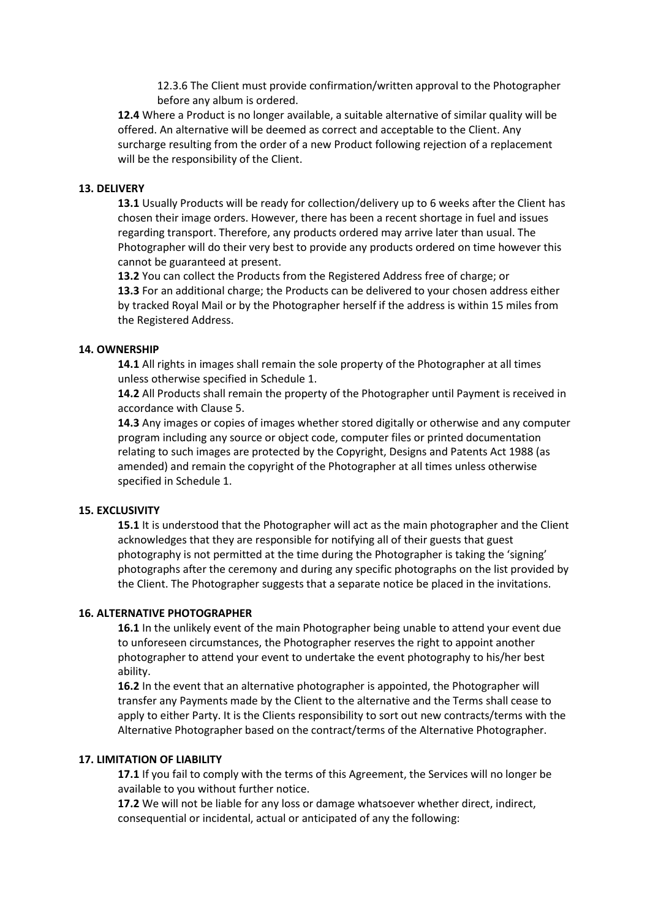12.3.6 The Client must provide confirmation/written approval to the Photographer before any album is ordered.

**12.4** Where a Product is no longer available, a suitable alternative of similar quality will be offered. An alternative will be deemed as correct and acceptable to the Client. Any surcharge resulting from the order of a new Product following rejection of a replacement will be the responsibility of the Client.

## **13. DELIVERY**

**13.1** Usually Products will be ready for collection/delivery up to 6 weeks after the Client has chosen their image orders. However, there has been a recent shortage in fuel and issues regarding transport. Therefore, any products ordered may arrive later than usual. The Photographer will do their very best to provide any products ordered on time however this cannot be guaranteed at present.

**13.2** You can collect the Products from the Registered Address free of charge; or **13.3** For an additional charge; the Products can be delivered to your chosen address either by tracked Royal Mail or by the Photographer herself if the address is within 15 miles from the Registered Address.

#### **14. OWNERSHIP**

**14.1** All rights in images shall remain the sole property of the Photographer at all times unless otherwise specified in Schedule 1.

**14.2** All Products shall remain the property of the Photographer until Payment is received in accordance with Clause 5.

**14.3** Any images or copies of images whether stored digitally or otherwise and any computer program including any source or object code, computer files or printed documentation relating to such images are protected by the Copyright, Designs and Patents Act 1988 (as amended) and remain the copyright of the Photographer at all times unless otherwise specified in Schedule 1.

#### **15. EXCLUSIVITY**

**15.1** It is understood that the Photographer will act as the main photographer and the Client acknowledges that they are responsible for notifying all of their guests that guest photography is not permitted at the time during the Photographer is taking the 'signing' photographs after the ceremony and during any specific photographs on the list provided by the Client. The Photographer suggests that a separate notice be placed in the invitations.

# **16. ALTERNATIVE PHOTOGRAPHER**

**16.1** In the unlikely event of the main Photographer being unable to attend your event due to unforeseen circumstances, the Photographer reserves the right to appoint another photographer to attend your event to undertake the event photography to his/her best ability.

**16.2** In the event that an alternative photographer is appointed, the Photographer will transfer any Payments made by the Client to the alternative and the Terms shall cease to apply to either Party. It is the Clients responsibility to sort out new contracts/terms with the Alternative Photographer based on the contract/terms of the Alternative Photographer.

#### **17. LIMITATION OF LIABILITY**

**17.1** If you fail to comply with the terms of this Agreement, the Services will no longer be available to you without further notice.

**17.2** We will not be liable for any loss or damage whatsoever whether direct, indirect, consequential or incidental, actual or anticipated of any the following: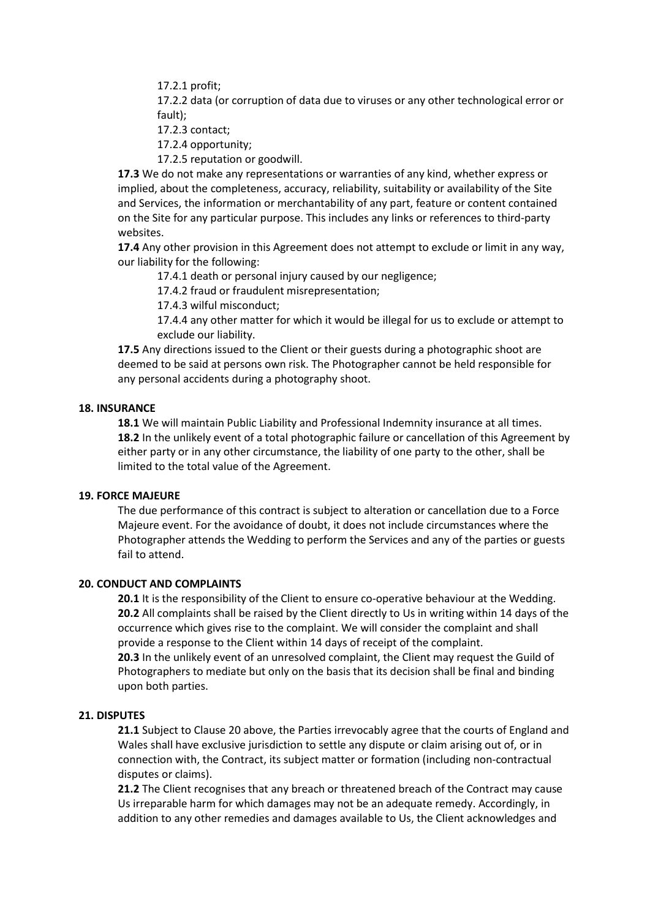17.2.1 profit;

17.2.2 data (or corruption of data due to viruses or any other technological error or fault);

- 17.2.3 contact;
- 17.2.4 opportunity;
- 17.2.5 reputation or goodwill.

**17.3** We do not make any representations or warranties of any kind, whether express or implied, about the completeness, accuracy, reliability, suitability or availability of the Site and Services, the information or merchantability of any part, feature or content contained on the Site for any particular purpose. This includes any links or references to third-party websites.

**17.4** Any other provision in this Agreement does not attempt to exclude or limit in any way, our liability for the following:

17.4.1 death or personal injury caused by our negligence;

17.4.2 fraud or fraudulent misrepresentation;

17.4.3 wilful misconduct;

17.4.4 any other matter for which it would be illegal for us to exclude or attempt to exclude our liability.

**17.5** Any directions issued to the Client or their guests during a photographic shoot are deemed to be said at persons own risk. The Photographer cannot be held responsible for any personal accidents during a photography shoot.

## **18. INSURANCE**

**18.1** We will maintain Public Liability and Professional Indemnity insurance at all times. **18.2** In the unlikely event of a total photographic failure or cancellation of this Agreement by either party or in any other circumstance, the liability of one party to the other, shall be limited to the total value of the Agreement.

# **19. FORCE MAJEURE**

The due performance of this contract is subject to alteration or cancellation due to a Force Majeure event. For the avoidance of doubt, it does not include circumstances where the Photographer attends the Wedding to perform the Services and any of the parties or guests fail to attend.

#### **20. CONDUCT AND COMPLAINTS**

**20.1** It is the responsibility of the Client to ensure co-operative behaviour at the Wedding. **20.2** All complaints shall be raised by the Client directly to Us in writing within 14 days of the occurrence which gives rise to the complaint. We will consider the complaint and shall provide a response to the Client within 14 days of receipt of the complaint.

**20.3** In the unlikely event of an unresolved complaint, the Client may request the Guild of Photographers to mediate but only on the basis that its decision shall be final and binding upon both parties.

#### **21. DISPUTES**

**21.1** Subject to Clause 20 above, the Parties irrevocably agree that the courts of England and Wales shall have exclusive jurisdiction to settle any dispute or claim arising out of, or in connection with, the Contract, its subject matter or formation (including non-contractual disputes or claims).

**21.2** The Client recognises that any breach or threatened breach of the Contract may cause Us irreparable harm for which damages may not be an adequate remedy. Accordingly, in addition to any other remedies and damages available to Us, the Client acknowledges and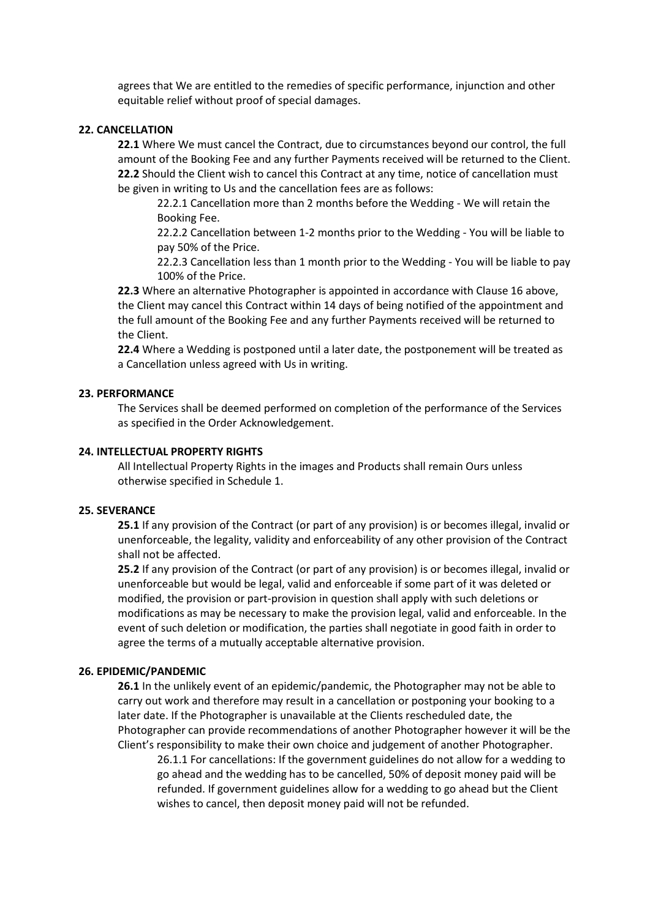agrees that We are entitled to the remedies of specific performance, injunction and other equitable relief without proof of special damages.

#### **22. CANCELLATION**

**22.1** Where We must cancel the Contract, due to circumstances beyond our control, the full amount of the Booking Fee and any further Payments received will be returned to the Client. **22.2** Should the Client wish to cancel this Contract at any time, notice of cancellation must be given in writing to Us and the cancellation fees are as follows:

22.2.1 Cancellation more than 2 months before the Wedding - We will retain the Booking Fee.

22.2.2 Cancellation between 1-2 months prior to the Wedding - You will be liable to pay 50% of the Price.

22.2.3 Cancellation less than 1 month prior to the Wedding - You will be liable to pay 100% of the Price.

**22.3** Where an alternative Photographer is appointed in accordance with Clause 16 above, the Client may cancel this Contract within 14 days of being notified of the appointment and the full amount of the Booking Fee and any further Payments received will be returned to the Client.

**22.4** Where a Wedding is postponed until a later date, the postponement will be treated as a Cancellation unless agreed with Us in writing.

#### **23. PERFORMANCE**

The Services shall be deemed performed on completion of the performance of the Services as specified in the Order Acknowledgement.

#### **24. INTELLECTUAL PROPERTY RIGHTS**

All Intellectual Property Rights in the images and Products shall remain Ours unless otherwise specified in Schedule 1.

#### **25. SEVERANCE**

**25.1** If any provision of the Contract (or part of any provision) is or becomes illegal, invalid or unenforceable, the legality, validity and enforceability of any other provision of the Contract shall not be affected.

**25.2** If any provision of the Contract (or part of any provision) is or becomes illegal, invalid or unenforceable but would be legal, valid and enforceable if some part of it was deleted or modified, the provision or part-provision in question shall apply with such deletions or modifications as may be necessary to make the provision legal, valid and enforceable. In the event of such deletion or modification, the parties shall negotiate in good faith in order to agree the terms of a mutually acceptable alternative provision.

#### **26. EPIDEMIC/PANDEMIC**

**26.1** In the unlikely event of an epidemic/pandemic, the Photographer may not be able to carry out work and therefore may result in a cancellation or postponing your booking to a later date. If the Photographer is unavailable at the Clients rescheduled date, the Photographer can provide recommendations of another Photographer however it will be the Client's responsibility to make their own choice and judgement of another Photographer.

26.1.1 For cancellations: If the government guidelines do not allow for a wedding to go ahead and the wedding has to be cancelled, 50% of deposit money paid will be refunded. If government guidelines allow for a wedding to go ahead but the Client wishes to cancel, then deposit money paid will not be refunded.